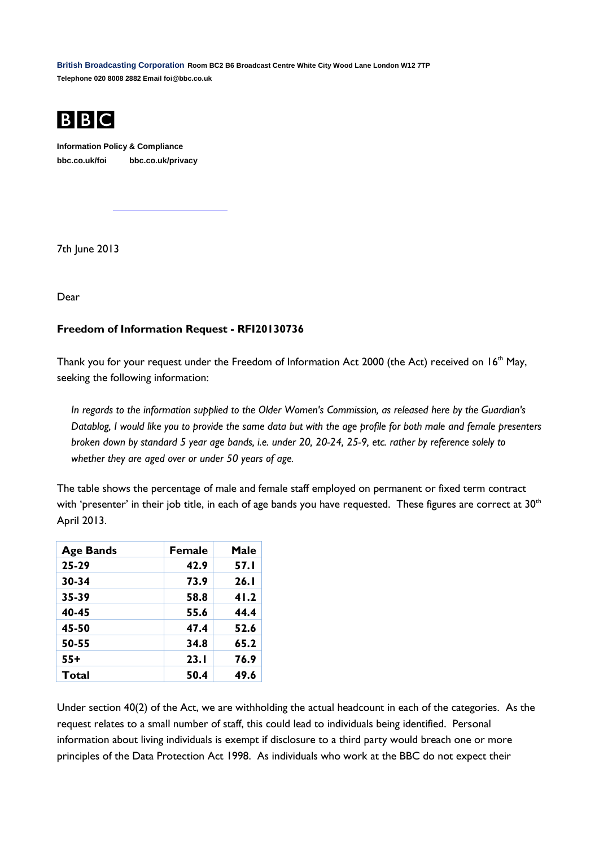**British Broadcasting Corporation Room BC2 B6 Broadcast Centre White City Wood Lane London W12 7TP Telephone 020 8008 2882 Email foi@bbc.co.uk**



**Information Policy & Compliance bbc.co.uk/foi bbc.co.uk/privacy**

7th June 2013

Dear

## **Freedom of Information Request - RFI20130736**

Thank you for your request under the Freedom of Information Act 2000 (the Act) received on 16<sup>th</sup> May, seeking the following information:

*In regards to the information supplied to the Older Women's Commission, as released here by the Guardian's Datablog, I would like you to provide the same data but with the age profile for both male and female presenters broken down by standard 5 year age bands, i.e. under 20, 20-24, 25-9, etc. rather by reference solely to whether they are aged over or under 50 years of age.* 

The table shows the percentage of male and female staff employed on permanent or fixed term contract with 'presenter' in their job title, in each of age bands you have requested. These figures are correct at 30<sup>th</sup> April 2013.

| <b>Age Bands</b> | <b>Female</b> | Male |
|------------------|---------------|------|
| $25 - 29$        | 42.9          | 57.I |
| $30 - 34$        | 73.9          | 26.1 |
| 35-39            | 58.8          | 41.2 |
| 40-45            | 55.6          | 44.4 |
| 45-50            | 47.4          | 52.6 |
| 50-55            | 34.8          | 65.2 |
| 55+              | 23.1          | 76.9 |
| Total            | 50.4          | 49.6 |

Under section 40(2) of the Act, we are withholding the actual headcount in each of the categories. As the request relates to a small number of staff, this could lead to individuals being identified. Personal information about living individuals is exempt if disclosure to a third party would breach one or more principles of the Data Protection Act 1998. As individuals who work at the BBC do not expect their